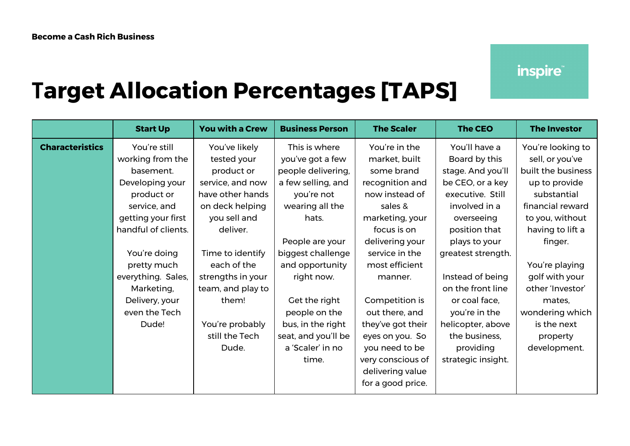## *inspire*

## **Target Allocation Percentages [TAPS]**

|                        | <b>Start Up</b>     | <b>You with a Crew</b> | <b>Business Person</b> | <b>The Scaler</b> | <b>The CEO</b>     | <b>The Investor</b> |
|------------------------|---------------------|------------------------|------------------------|-------------------|--------------------|---------------------|
| <b>Characteristics</b> | You're still        | You've likely          | This is where          | You're in the     | You'll have a      | You're looking to   |
|                        | working from the    | tested your            | you've got a few       | market, built     | Board by this      | sell, or you've     |
|                        | basement.           | product or             | people delivering,     | some brand        | stage. And you'll  | built the business  |
|                        | Developing your     | service, and now       | a few selling, and     | recognition and   | be CEO, or a key   | up to provide       |
|                        | product or          | have other hands       | you're not             | now instead of    | executive. Still   | substantial         |
|                        | service, and        | on deck helping        | wearing all the        | sales &           | involved in a      | financial reward    |
|                        | getting your first  | you sell and           | hats.                  | marketing, your   | overseeing         | to you, without     |
|                        | handful of clients. | deliver.               |                        | focus is on       | position that      | having to lift a    |
|                        |                     |                        | People are your        | delivering your   | plays to your      | finger.             |
|                        | You're doing        | Time to identify       | biggest challenge      | service in the    | greatest strength. |                     |
|                        | pretty much         | each of the            | and opportunity        | most efficient    |                    | You're playing      |
|                        | everything. Sales,  | strengths in your      | right now.             | manner.           | Instead of being   | golf with your      |
|                        | Marketing,          | team, and play to      |                        |                   | on the front line  | other 'Investor'    |
|                        | Delivery, your      | them!                  | Get the right          | Competition is    | or coal face,      | mates,              |
|                        | even the Tech       |                        | people on the          | out there, and    | you're in the      | wondering which     |
|                        | Dude!               | You're probably        | bus, in the right      | they've got their | helicopter, above  | is the next         |
|                        |                     | still the Tech         | seat, and you'll be    | eyes on you. So   | the business,      | property            |
|                        |                     | Dude.                  | a 'Scaler' in no       | you need to be    | providing          | development.        |
|                        |                     |                        | time.                  | very conscious of | strategic insight. |                     |
|                        |                     |                        |                        | delivering value  |                    |                     |
|                        |                     |                        |                        | for a good price. |                    |                     |
|                        |                     |                        |                        |                   |                    |                     |